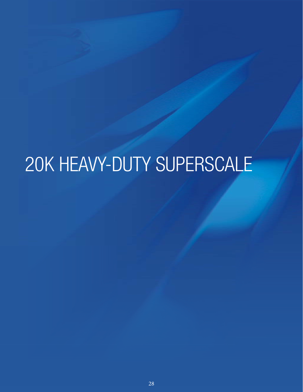# 20K HEAVY-DUTY SUPERSCALE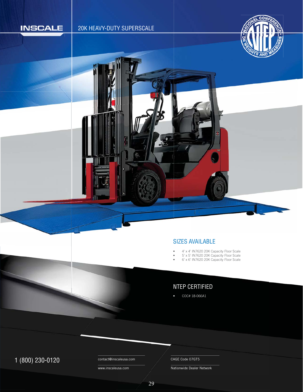

# 20K HEAVY-DUTY SUPERSCALE



#### SIZES AVAILABLE S

- 4' x 4' IN7620 20K Capacity Floor Scale •
- 5' x 5' IN7620 20K Capacity Floor Scale •
- 6' x 6' IN7620 20K Capacity Floor Scale •

# NTEP CERTIFIED

• COC# 18-066A1

# 1 (800) 230-0120 Contact@inscaleusa.com CAGE Code 07GT5

contact@inscaleusa.com

www.inscaleusa.com

Nationwide Dealer Network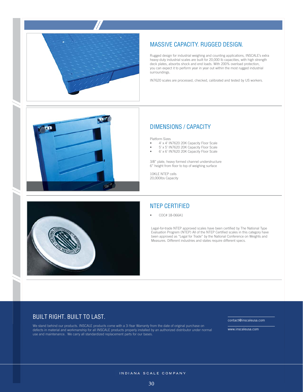

## MASSIVE CAPACITY. RUGGED DESIGN.

Rugged design for industrial weighing and counting applications, INSCALE's extra heavy-duty industrial scales are built for 20,000 lb capacities, with high strength deck plates, absorbs shock and end loads. With 200% overload protection, you can expect it to perform year in year out within the most rugged industrial surroundings.

IN7620 scales are processed, checked, calibrated and tested by US workers.



#### DIMENSIONS / CAPACITY

Platform Sizes

- 4' x 4' IN7620 20K Capacity Floor Scale
- $5' \times 5'$  IN7620 20K Capacity Floor Scale
- 6' x 6' IN7620 20K Capacity Floor Scale

3/8" plate, heavy formed channel understructure 6" height from floor to top of weighing surface

10KLE NTEP cells 20,000lbs Capacity



## NTEP CERTIFIED

• COC# 18-066A1

Legal-for-trade NTEP approved scales have been certified by The National Type Evaluation Progrem (NTEP) All of the NTEP Certified scales in this category have been approved as "Legal for Trade" by the National Conference on Weights and Measures. Different industries and states require different specs.

#### BUILT RIGHT. BUILT TO LAST.

We stand behind our products. INSCALE products come with a 3-Year Warranty from the date of original purchase on defects in material and workmanship for all INSCALE products properly installed by an authorized distributor under normal use and maintenance. We carry all standardized replacement parts for our bases.

contact@inscaleusa.com

www.inscaleusa.com

INDIANA SCALE COMPANY